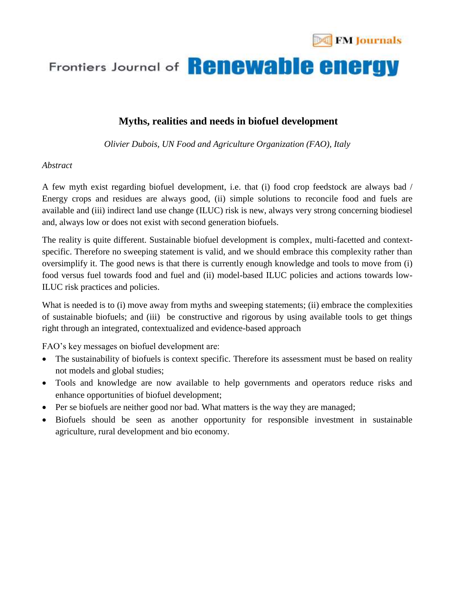

## Frontiers Journal of **Renewable energy**

### **Myths, realities and needs in biofuel development**

*Olivier Dubois, UN Food and Agriculture Organization (FAO), Italy*

#### *Abstract*

A few myth exist regarding biofuel development, i.e. that (i) food crop feedstock are always bad / Energy crops and residues are always good, (ii) simple solutions to reconcile food and fuels are available and (iii) indirect land use change (ILUC) risk is new, always very strong concerning biodiesel and, always low or does not exist with second generation biofuels.

The reality is quite different. Sustainable biofuel development is complex, multi-facetted and contextspecific. Therefore no sweeping statement is valid, and we should embrace this complexity rather than oversimplify it. The good news is that there is currently enough knowledge and tools to move from (i) food versus fuel towards food and fuel and (ii) model-based ILUC policies and actions towards low-ILUC risk practices and policies.

What is needed is to (i) move away from myths and sweeping statements; (ii) embrace the complexities of sustainable biofuels; and (iii) be constructive and rigorous by using available tools to get things right through an integrated, contextualized and evidence-based approach

FAO's key messages on biofuel development are:

- The sustainability of biofuels is context specific. Therefore its assessment must be based on reality not models and global studies;
- Tools and knowledge are now available to help governments and operators reduce risks and enhance opportunities of biofuel development;
- Per se biofuels are neither good nor bad. What matters is the way they are managed;
- Biofuels should be seen as another opportunity for responsible investment in sustainable agriculture, rural development and bio economy.